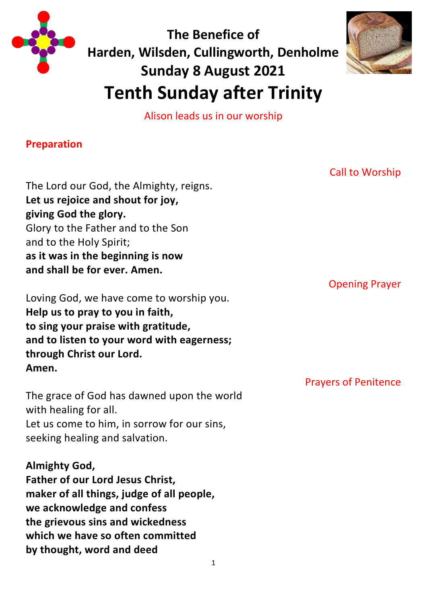

**The Benefice of Harden, Wilsden, Cullingworth, Denholme Sunday 8 August 2021 Tenth Sunday after Trinity**



Alison leads us in our worship

### **Preparation**

The Lord our God, the Almighty, reigns. **Let us rejoice and shout for joy, giving God the glory.** Glory to the Father and to the Son and to the Holy Spirit; **as it was in the beginning is now and shall be for ever. Amen.**

Loving God, we have come to worship you. **Help us to pray to you in faith, to sing your praise with gratitude, and to listen to your word with eagerness; through Christ our Lord. Amen.**

The grace of God has dawned upon the world with healing for all. Let us come to him, in sorrow for our sins, seeking healing and salvation.

## **Almighty God,**

**Father of our Lord Jesus Christ, maker of all things, judge of all people, we acknowledge and confess the grievous sins and wickedness which we have so often committed by thought, word and deed**

Call to Worship

Opening Prayer

Prayers of Penitence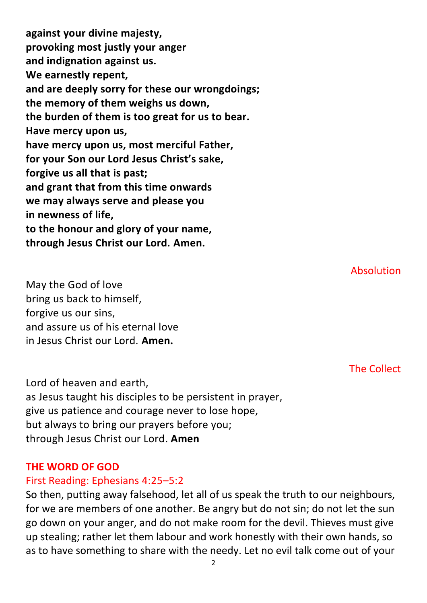**against your divine majesty, provoking most justly your anger and indignation against us. We earnestly repent, and are deeply sorry for these our wrongdoings; the memory of them weighs us down, the burden of them is too great for us to bear. Have mercy upon us, have mercy upon us, most merciful Father, for your Son our Lord Jesus Christ's sake, forgive us all that is past; and grant that from this time onwards we may always serve and please you in newness of life, to the honour and glory of your name, through Jesus Christ our Lord. Amen.**

May the God of love bring us back to himself, forgive us our sins, and assure us of his eternal love in Jesus Christ our Lord. **Amen.**

The Collect

Absolution

Lord of heaven and earth, as Jesus taught his disciples to be persistent in prayer, give us patience and courage never to lose hope, but always to bring our prayers before you; through Jesus Christ our Lord. **Amen**

#### **THE WORD OF GOD**

#### First Reading: Ephesians 4:25–5:2

So then, putting away falsehood, let all of us speak the truth to our neighbours, for we are members of one another. Be angry but do not sin; do not let the sun go down on your anger, and do not make room for the devil. Thieves must give up stealing; rather let them labour and work honestly with their own hands, so as to have something to share with the needy. Let no evil talk come out of your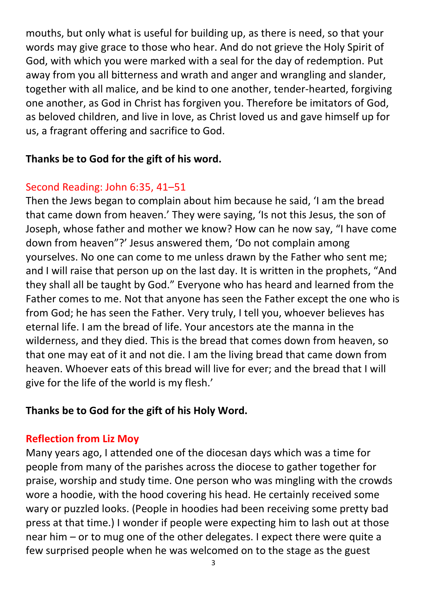mouths, but only what is useful for building up, as there is need, so that your words may give grace to those who hear. And do not grieve the Holy Spirit of God, with which you were marked with a seal for the day of redemption. Put away from you all bitterness and wrath and anger and wrangling and slander, together with all malice, and be kind to one another, tender-hearted, forgiving one another, as God in Christ has forgiven you. Therefore be imitators of God, as beloved children, and live in love, as Christ loved us and gave himself up for us, a fragrant offering and sacrifice to God.

### **Thanks be to God for the gift of his word.**

# Second Reading: John 6:35, 41–51

Then the Jews began to complain about him because he said, 'I am the bread that came down from heaven.' They were saying, 'Is not this Jesus, the son of Joseph, whose father and mother we know? How can he now say, "I have come down from heaven"?' Jesus answered them, 'Do not complain among yourselves. No one can come to me unless drawn by the Father who sent me; and I will raise that person up on the last day. It is written in the prophets, "And they shall all be taught by God." Everyone who has heard and learned from the Father comes to me. Not that anyone has seen the Father except the one who is from God; he has seen the Father. Very truly, I tell you, whoever believes has eternal life. I am the bread of life. Your ancestors ate the manna in the wilderness, and they died. This is the bread that comes down from heaven, so that one may eat of it and not die. I am the living bread that came down from heaven. Whoever eats of this bread will live for ever; and the bread that I will give for the life of the world is my flesh.'

## **Thanks be to God for the gift of his Holy Word.**

## **Reflection from Liz Moy**

Many years ago, I attended one of the diocesan days which was a time for people from many of the parishes across the diocese to gather together for praise, worship and study time. One person who was mingling with the crowds wore a hoodie, with the hood covering his head. He certainly received some wary or puzzled looks. (People in hoodies had been receiving some pretty bad press at that time.) I wonder if people were expecting him to lash out at those near him – or to mug one of the other delegates. I expect there were quite a few surprised people when he was welcomed on to the stage as the guest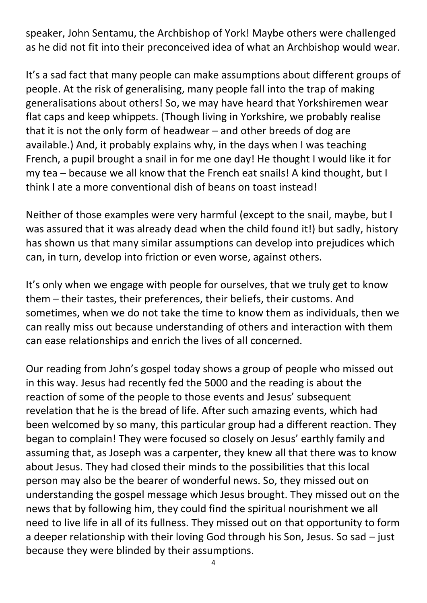speaker, John Sentamu, the Archbishop of York! Maybe others were challenged as he did not fit into their preconceived idea of what an Archbishop would wear.

It's a sad fact that many people can make assumptions about different groups of people. At the risk of generalising, many people fall into the trap of making generalisations about others! So, we may have heard that Yorkshiremen wear flat caps and keep whippets. (Though living in Yorkshire, we probably realise that it is not the only form of headwear – and other breeds of dog are available.) And, it probably explains why, in the days when I was teaching French, a pupil brought a snail in for me one day! He thought I would like it for my tea – because we all know that the French eat snails! A kind thought, but I think I ate a more conventional dish of beans on toast instead!

Neither of those examples were very harmful (except to the snail, maybe, but I was assured that it was already dead when the child found it!) but sadly, history has shown us that many similar assumptions can develop into prejudices which can, in turn, develop into friction or even worse, against others.

It's only when we engage with people for ourselves, that we truly get to know them – their tastes, their preferences, their beliefs, their customs. And sometimes, when we do not take the time to know them as individuals, then we can really miss out because understanding of others and interaction with them can ease relationships and enrich the lives of all concerned.

Our reading from John's gospel today shows a group of people who missed out in this way. Jesus had recently fed the 5000 and the reading is about the reaction of some of the people to those events and Jesus' subsequent revelation that he is the bread of life. After such amazing events, which had been welcomed by so many, this particular group had a different reaction. They began to complain! They were focused so closely on Jesus' earthly family and assuming that, as Joseph was a carpenter, they knew all that there was to know about Jesus. They had closed their minds to the possibilities that this local person may also be the bearer of wonderful news. So, they missed out on understanding the gospel message which Jesus brought. They missed out on the news that by following him, they could find the spiritual nourishment we all need to live life in all of its fullness. They missed out on that opportunity to form a deeper relationship with their loving God through his Son, Jesus. So sad – just because they were blinded by their assumptions.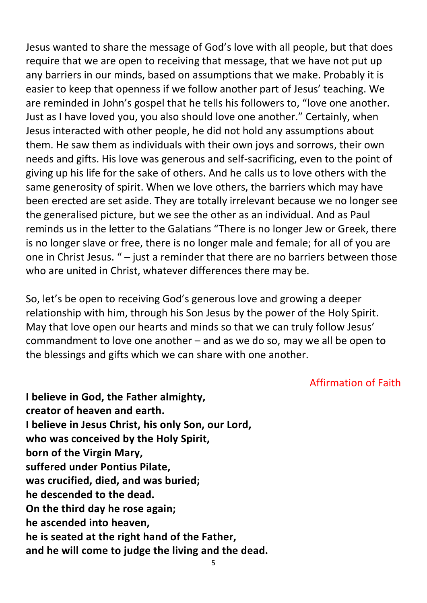Jesus wanted to share the message of God's love with all people, but that does require that we are open to receiving that message, that we have not put up any barriers in our minds, based on assumptions that we make. Probably it is easier to keep that openness if we follow another part of Jesus' teaching. We are reminded in John's gospel that he tells his followers to, "love one another. Just as I have loved you, you also should love one another." Certainly, when Jesus interacted with other people, he did not hold any assumptions about them. He saw them as individuals with their own joys and sorrows, their own needs and gifts. His love was generous and self-sacrificing, even to the point of giving up his life for the sake of others. And he calls us to love others with the same generosity of spirit. When we love others, the barriers which may have been erected are set aside. They are totally irrelevant because we no longer see the generalised picture, but we see the other as an individual. And as Paul reminds us in the letter to the Galatians "There is no longer Jew or Greek, there is no longer slave or free, there is no longer male and female; for all of you are one in Christ Jesus. " – just a reminder that there are no barriers between those who are united in Christ, whatever differences there may be.

So, let's be open to receiving God's generous love and growing a deeper relationship with him, through his Son Jesus by the power of the Holy Spirit. May that love open our hearts and minds so that we can truly follow Jesus' commandment to love one another – and as we do so, may we all be open to the blessings and gifts which we can share with one another.

#### Affirmation of Faith

**I believe in God, the Father almighty, creator of heaven and earth. I believe in Jesus Christ, his only Son, our Lord, who was conceived by the Holy Spirit, born of the Virgin Mary, suffered under Pontius Pilate, was crucified, died, and was buried; he descended to the dead. On the third day he rose again; he ascended into heaven, he is seated at the right hand of the Father, and he will come to judge the living and the dead.**

5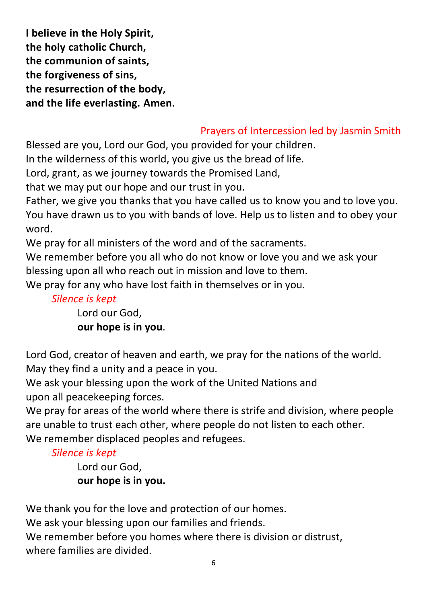**I believe in the Holy Spirit, the holy catholic Church, the communion of saints, the forgiveness of sins, the resurrection of the body, and the life everlasting. Amen.**

# Prayers of Intercession led by Jasmin Smith

Blessed are you, Lord our God, you provided for your children.

In the wilderness of this world, you give us the bread of life.

Lord, grant, as we journey towards the Promised Land,

that we may put our hope and our trust in you.

Father, we give you thanks that you have called us to know you and to love you. You have drawn us to you with bands of love. Help us to listen and to obey your word.

We pray for all ministers of the word and of the sacraments.

We remember before you all who do not know or love you and we ask your blessing upon all who reach out in mission and love to them.

We pray for any who have lost faith in themselves or in you.

### *Silence is kept*

Lord our God, **our hope is in you**.

Lord God, creator of heaven and earth, we pray for the nations of the world. May they find a unity and a peace in you.

We ask your blessing upon the work of the United Nations and upon all peacekeeping forces.

We pray for areas of the world where there is strife and division, where people are unable to trust each other, where people do not listen to each other. We remember displaced peoples and refugees.

## *Silence is kept*

Lord our God, **our hope is in you.** 

We thank you for the love and protection of our homes.

We ask your blessing upon our families and friends.

We remember before you homes where there is division or distrust. where families are divided.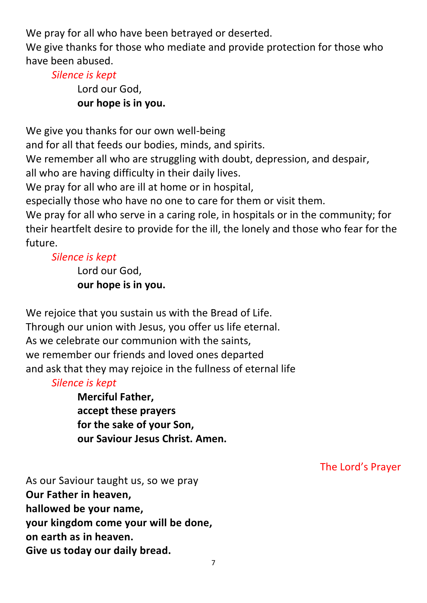We pray for all who have been betrayed or deserted.

We give thanks for those who mediate and provide protection for those who have been abused.

### *Silence is kept*

Lord our God, **our hope is in you.**

We give you thanks for our own well-being

and for all that feeds our bodies, minds, and spirits.

We remember all who are struggling with doubt, depression, and despair,

all who are having difficulty in their daily lives.

We pray for all who are ill at home or in hospital,

especially those who have no one to care for them or visit them.

We pray for all who serve in a caring role, in hospitals or in the community; for their heartfelt desire to provide for the ill, the lonely and those who fear for the future.

## *Silence is kept*

Lord our God, **our hope is in you.** 

We rejoice that you sustain us with the Bread of Life. Through our union with Jesus, you offer us life eternal. As we celebrate our communion with the saints, we remember our friends and loved ones departed and ask that they may rejoice in the fullness of eternal life

## *Silence is kept*

**Merciful Father, accept these prayers for the sake of your Son, our Saviour Jesus Christ. Amen.** 

The Lord's Prayer

As our Saviour taught us, so we pray **Our Father in heaven, hallowed be your name, your kingdom come your will be done, on earth as in heaven. Give us today our daily bread.**